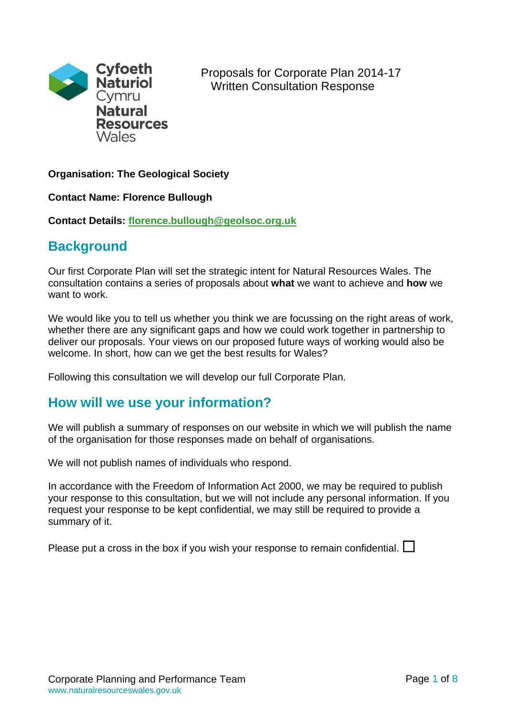

# **Organisation: The Geological Society**

**Contact Name: Florence Bullough**

**Contact Details: [florence.bullough@geolsoc.org.uk](mailto:florence.bullough@geolsoc.org.uk)**

# **Background**

Our first Corporate Plan will set the strategic intent for Natural Resources Wales. The consultation contains a series of proposals about **what** we want to achieve and **how** we want to work.

We would like you to tell us whether you think we are focussing on the right areas of work, whether there are any significant gaps and how we could work together in partnership to deliver our proposals. Your views on our proposed future ways of working would also be welcome. In short, how can we get the best results for Wales?

Following this consultation we will develop our full Corporate Plan.

# **How will we use your information?**

We will publish a summary of responses on our website in which we will publish the name of the organisation for those responses made on behalf of organisations.

We will not publish names of individuals who respond.

In accordance with the Freedom of Information Act 2000, we may be required to publish your response to this consultation, but we will not include any personal information. If you request your response to be kept confidential, we may still be required to provide a summary of it.

Please put a cross in the box if you wish your response to remain confidential.  $\Box$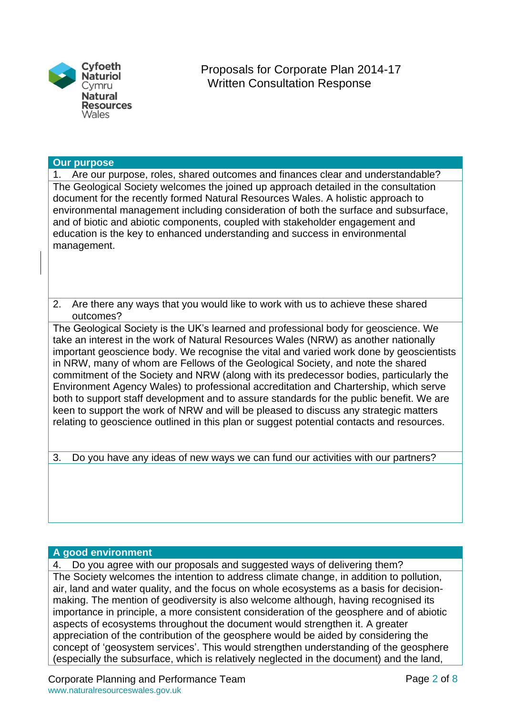

### **Our purpose**

1. Are our purpose, roles, shared outcomes and finances clear and understandable? The Geological Society welcomes the joined up approach detailed in the consultation document for the recently formed Natural Resources Wales. A holistic approach to environmental management including consideration of both the surface and subsurface, and of biotic and abiotic components, coupled with stakeholder engagement and education is the key to enhanced understanding and success in environmental management.

2. Are there any ways that you would like to work with us to achieve these shared outcomes?

The Geological Society is the UK's learned and professional body for geoscience. We take an interest in the work of Natural Resources Wales (NRW) as another nationally important geoscience body. We recognise the vital and varied work done by geoscientists in NRW, many of whom are Fellows of the Geological Society, and note the shared commitment of the Society and NRW (along with its predecessor bodies, particularly the Environment Agency Wales) to professional accreditation and Chartership, which serve both to support staff development and to assure standards for the public benefit. We are keen to support the work of NRW and will be pleased to discuss any strategic matters relating to geoscience outlined in this plan or suggest potential contacts and resources.

3. Do you have any ideas of new ways we can fund our activities with our partners?

# **A good environment**

4. Do you agree with our proposals and suggested ways of delivering them? The Society welcomes the intention to address climate change, in addition to pollution, air, land and water quality, and the focus on whole ecosystems as a basis for decisionmaking. The mention of geodiversity is also welcome although, having recognised its importance in principle, a more consistent consideration of the geosphere and of abiotic aspects of ecosystems throughout the document would strengthen it. A greater appreciation of the contribution of the geosphere would be aided by considering the concept of 'geosystem services'. This would strengthen understanding of the geosphere (especially the subsurface, which is relatively neglected in the document) and the land,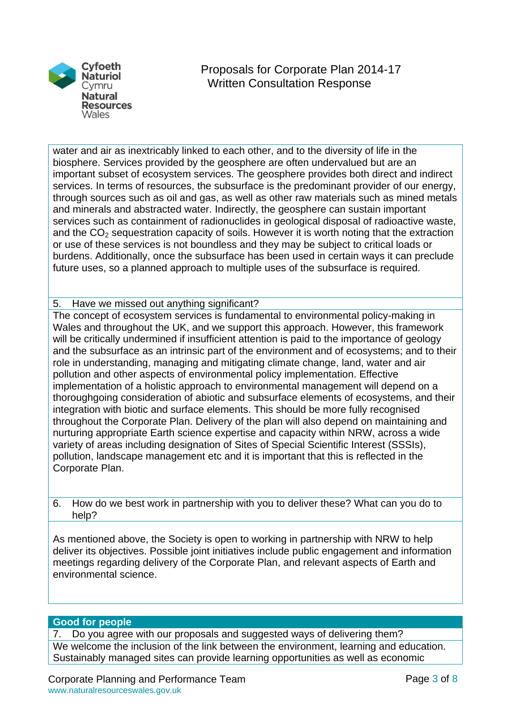

water and air as inextricably linked to each other, and to the diversity of life in the biosphere. Services provided by the geosphere are often undervalued but are an important subset of ecosystem services. The geosphere provides both direct and indirect services. In terms of resources, the subsurface is the predominant provider of our energy, through sources such as oil and gas, as well as other raw materials such as mined metals and minerals and abstracted water. Indirectly, the geosphere can sustain important services such as containment of radionuclides in geological disposal of radioactive waste, and the  $CO<sub>2</sub>$  sequestration capacity of soils. However it is worth noting that the extraction or use of these services is not boundless and they may be subject to critical loads or burdens. Additionally, once the subsurface has been used in certain ways it can preclude future uses, so a planned approach to multiple uses of the subsurface is required.

# 5. Have we missed out anything significant?

The concept of ecosystem services is fundamental to environmental policy-making in Wales and throughout the UK, and we support this approach. However, this framework will be critically undermined if insufficient attention is paid to the importance of geology and the subsurface as an intrinsic part of the environment and of ecosystems; and to their role in understanding, managing and mitigating climate change, land, water and air pollution and other aspects of environmental policy implementation. Effective implementation of a holistic approach to environmental management will depend on a thoroughgoing consideration of abiotic and subsurface elements of ecosystems, and their integration with biotic and surface elements. This should be more fully recognised throughout the Corporate Plan. Delivery of the plan will also depend on maintaining and nurturing appropriate Earth science expertise and capacity within NRW, across a wide variety of areas including designation of Sites of Special Scientific Interest (SSSIs), pollution, landscape management etc and it is important that this is reflected in the Corporate Plan.

6. How do we best work in partnership with you to deliver these? What can you do to help?

As mentioned above, the Society is open to working in partnership with NRW to help deliver its objectives. Possible joint initiatives include public engagement and information meetings regarding delivery of the Corporate Plan, and relevant aspects of Earth and environmental science.

#### **Good for people**

7. Do you agree with our proposals and suggested ways of delivering them? We welcome the inclusion of the link between the environment, learning and education. Sustainably managed sites can provide learning opportunities as well as economic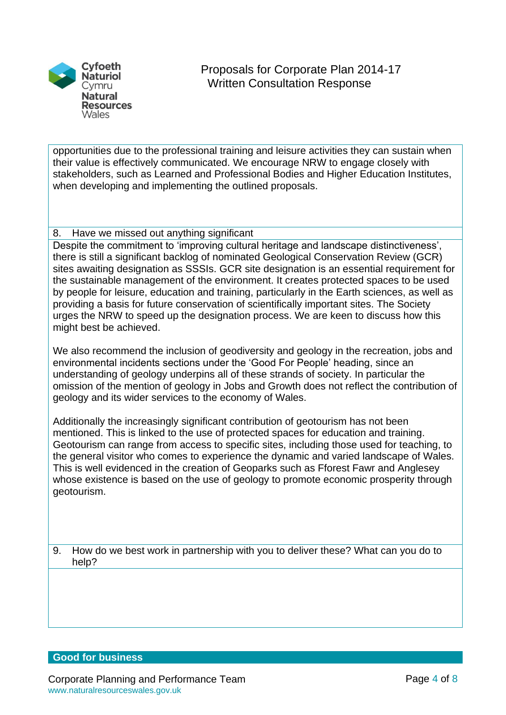

opportunities due to the professional training and leisure activities they can sustain when their value is effectively communicated. We encourage NRW to engage closely with stakeholders, such as Learned and Professional Bodies and Higher Education Institutes, when developing and implementing the outlined proposals.

# 8. Have we missed out anything significant

Despite the commitment to 'improving cultural heritage and landscape distinctiveness', there is still a significant backlog of nominated Geological Conservation Review (GCR) sites awaiting designation as SSSIs. GCR site designation is an essential requirement for the sustainable management of the environment. It creates protected spaces to be used by people for leisure, education and training, particularly in the Earth sciences, as well as providing a basis for future conservation of scientifically important sites. The Society urges the NRW to speed up the designation process. We are keen to discuss how this might best be achieved.

We also recommend the inclusion of geodiversity and geology in the recreation, jobs and environmental incidents sections under the 'Good For People' heading, since an understanding of geology underpins all of these strands of society. In particular the omission of the mention of geology in Jobs and Growth does not reflect the contribution of geology and its wider services to the economy of Wales.

Additionally the increasingly significant contribution of geotourism has not been mentioned. This is linked to the use of protected spaces for education and training. Geotourism can range from access to specific sites, including those used for teaching, to the general visitor who comes to experience the dynamic and varied landscape of Wales. This is well evidenced in the creation of Geoparks such as Fforest Fawr and Anglesey whose existence is based on the use of geology to promote economic prosperity through geotourism.

9. How do we best work in partnership with you to deliver these? What can you do to help?

# **Good for business**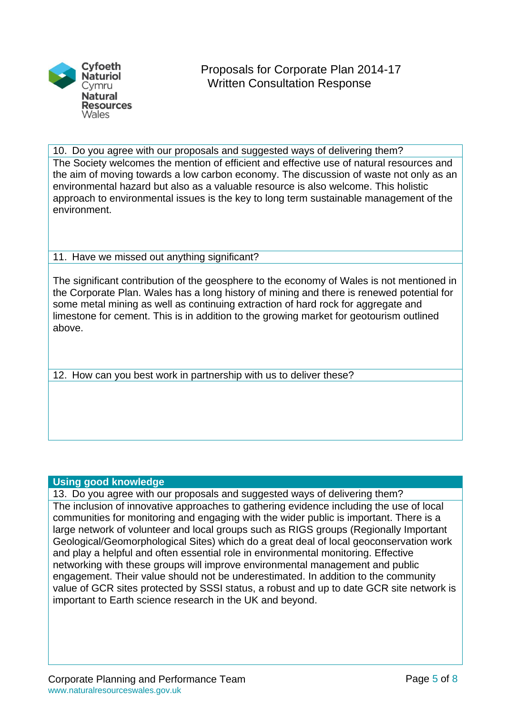

10. Do you agree with our proposals and suggested ways of delivering them? The Society welcomes the mention of efficient and effective use of natural resources and the aim of moving towards a low carbon economy. The discussion of waste not only as an environmental hazard but also as a valuable resource is also welcome. This holistic approach to environmental issues is the key to long term sustainable management of the environment.

# 11. Have we missed out anything significant?

The significant contribution of the geosphere to the economy of Wales is not mentioned in the Corporate Plan. Wales has a long history of mining and there is renewed potential for some metal mining as well as continuing extraction of hard rock for aggregate and limestone for cement. This is in addition to the growing market for geotourism outlined above.

12. How can you best work in partnership with us to deliver these?

# **Using good knowledge**

13. Do you agree with our proposals and suggested ways of delivering them? The inclusion of innovative approaches to gathering evidence including the use of local communities for monitoring and engaging with the wider public is important. There is a large network of volunteer and local groups such as RIGS groups (Regionally Important Geological/Geomorphological Sites) which do a great deal of local geoconservation work and play a helpful and often essential role in environmental monitoring. Effective networking with these groups will improve environmental management and public engagement. Their value should not be underestimated. In addition to the community value of GCR sites protected by SSSI status, a robust and up to date GCR site network is important to Earth science research in the UK and beyond.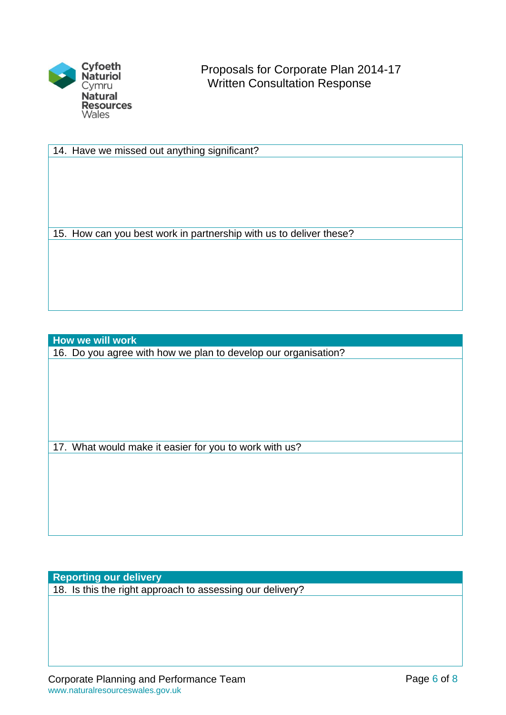

14. Have we missed out anything significant?

15. How can you best work in partnership with us to deliver these?

**How we will work**

16. Do you agree with how we plan to develop our organisation?

17. What would make it easier for you to work with us?

**Reporting our delivery**

18. Is this the right approach to assessing our delivery?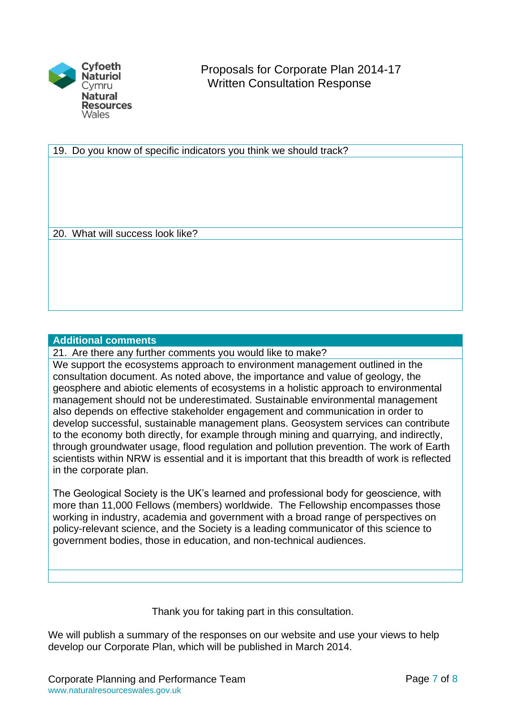

19. Do you know of specific indicators you think we should track?

20. What will success look like?

### **Additional comments**

21. Are there any further comments you would like to make?

We support the ecosystems approach to environment management outlined in the consultation document. As noted above, the importance and value of geology, the geosphere and abiotic elements of ecosystems in a holistic approach to environmental management should not be underestimated. Sustainable environmental management also depends on effective stakeholder engagement and communication in order to develop successful, sustainable management plans. Geosystem services can contribute to the economy both directly, for example through mining and quarrying, and indirectly, through groundwater usage, flood regulation and pollution prevention. The work of Earth scientists within NRW is essential and it is important that this breadth of work is reflected in the corporate plan.

The Geological Society is the UK's learned and professional body for geoscience, with more than 11,000 Fellows (members) worldwide. The Fellowship encompasses those working in industry, academia and government with a broad range of perspectives on policy-relevant science, and the Society is a leading communicator of this science to government bodies, those in education, and non-technical audiences.

Thank you for taking part in this consultation.

We will publish a summary of the responses on our website and use your views to help develop our Corporate Plan, which will be published in March 2014.